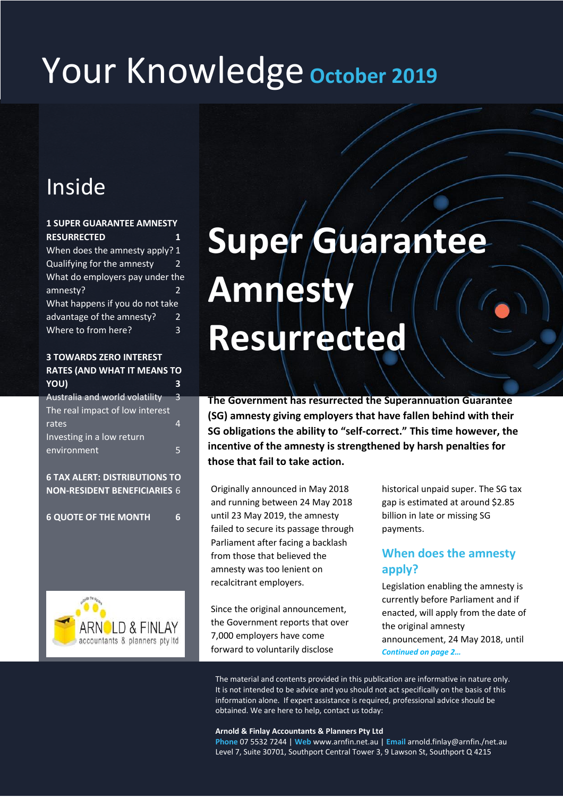## Your Knowledge **October <sup>2019</sup>**

## Inside

#### **1 SUPER GUARANTEE AMNESTY RESURRECTED 1** When does the amnesty apply? 1 Qualifying for the amnesty 2 What do employers pay under the amnesty? 2 What happens if you do not take advantage of the amnesty? 2 Where to from here? 3

#### **3 TOWARDS ZERO INTEREST RATES (AND WHAT IT MEANS TO YOU) 3**

| Australia and world volatility<br>3 |
|-------------------------------------|
|                                     |
| The real impact of low interest     |
| rates                               |
| Investing in a low return           |
| environment                         |
|                                     |

**6 TAX ALERT: DISTRIBUTIONS TO NON-RESIDENT BENEFICIARIES** 6

**6 QUOTE OF THE MONTH 6**



# **Super Guarantee Amnesty Resurrected**

**The Government has resurrected the Superannuation Guarantee (SG) amnesty giving employers that have fallen behind with their SG obligations the ability to "self-correct." This time however, the incentive of the amnesty is strengthened by harsh penalties for those that fail to take action.**

Originally announced in May 2018 and running between 24 May 2018 until 23 May 2019, the amnesty failed to secure its passage through Parliament after facing a backlash from those that believed the amnesty was too lenient on recalcitrant employers.

Since the original announcement, the Government reports that over 7,000 employers have come forward to voluntarily disclose

historical unpaid super. The SG tax gap is estimated at around \$2.85 billion in late or missing SG payments.

## **When does the amnesty apply?**

Legislation enabling the amnesty is currently before Parliament and if enacted, will apply from the date of the original amnesty announcement, 24 May 2018, until *Continued on page 2…*

The material and contents provided in this publication are informative in nature only. It is not intended to be advice and you should not act specifically on the basis of this information alone. If expert assistance is required, professional advice should be obtained. We are here to help, contact us today:

#### **Arnold & Finlay Accountants & Planners Pty Ltd**

**Phone** 07 5532 7244 | **Web** www.arnfin.net.au | **Email** arnold.finlay@arnfin./net.au Level 7, Suite 30701, Southport Central Tower 3, 9 Lawson St, Southport Q 4215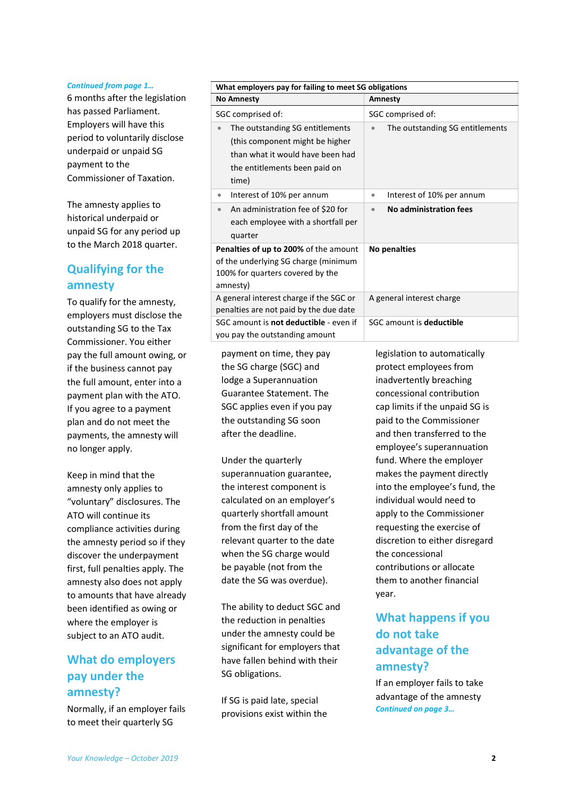#### *Continued from page 1…*

6 months after the legislation has passed Parliament. Employers will have this period to voluntarily disclose underpaid or unpaid SG payment to the Commissioner of Taxation.

The amnesty applies to historical underpaid or unpaid SG for any period up to the March 2018 quarter.

### **Qualifying for the amnesty**

To qualify for the amnesty, employers must disclose the outstanding SG to the Tax Commissioner. You either pay the full amount owing, or if the business cannot pay the full amount, enter into a payment plan with the ATO. If you agree to a payment plan and do not meet the payments, the amnesty will no longer apply.

Keep in mind that the amnesty only applies to "voluntary" disclosures. The ATO will continue its compliance activities during the amnesty period so if they discover the underpayment first, full penalties apply. The amnesty also does not apply to amounts that have already been identified as owing or where the employer is subject to an ATO audit.

### **What do employers pay under the amnesty?**

Normally, if an employer fails to meet their quarterly SG

| What employers pay for failing to meet SG obligations                                                                                             |                                        |  |  |  |
|---------------------------------------------------------------------------------------------------------------------------------------------------|----------------------------------------|--|--|--|
| <b>No Amnesty</b>                                                                                                                                 | Amnesty                                |  |  |  |
| SGC comprised of:                                                                                                                                 | SGC comprised of:                      |  |  |  |
| The outstanding SG entitlements<br>(this component might be higher)<br>than what it would have been had<br>the entitlements been paid on<br>time) | The outstanding SG entitlements<br>۰   |  |  |  |
| Interest of 10% per annum<br>۰                                                                                                                    | Interest of 10% per annum<br>$\bullet$ |  |  |  |
| An administration fee of \$20 for<br>each employee with a shortfall per<br>quarter                                                                | No administration fees<br>$\bullet$    |  |  |  |
| <b>Penalties of up to 200%</b> of the amount<br>of the underlying SG charge (minimum<br>100% for quarters covered by the<br>amnesty)              | <b>No penalties</b>                    |  |  |  |
| A general interest charge if the SGC or<br>penalties are not paid by the due date                                                                 | A general interest charge              |  |  |  |
| SGC amount is not deductible - even if<br>you pay the outstanding amount                                                                          | SGC amount is deductible               |  |  |  |

payment on time, they pay the SG charge (SGC) and lodge a Superannuation Guarantee Statement. The SGC applies even if you pay the outstanding SG soon after the deadline.

Under the quarterly superannuation guarantee, the interest component is calculated on an employer's quarterly shortfall amount from the first day of the relevant quarter to the date when the SG charge would be payable (not from the date the SG was overdue).

The ability to deduct SGC and the reduction in penalties under the amnesty could be significant for employers that have fallen behind with their SG obligations.

If SG is paid late, special provisions exist within the legislation to automatically protect employees from inadvertently breaching concessional contribution cap limits if the unpaid SG is paid to the Commissioner and then transferred to the employee's superannuation fund. Where the employer makes the payment directly into the employee's fund, the individual would need to apply to the Commissioner requesting the exercise of discretion to either disregard the concessional contributions or allocate them to another financial year.

## **What happens if you do not take advantage of the amnesty?**

If an employer fails to take advantage of the amnesty *Continued on page 3…*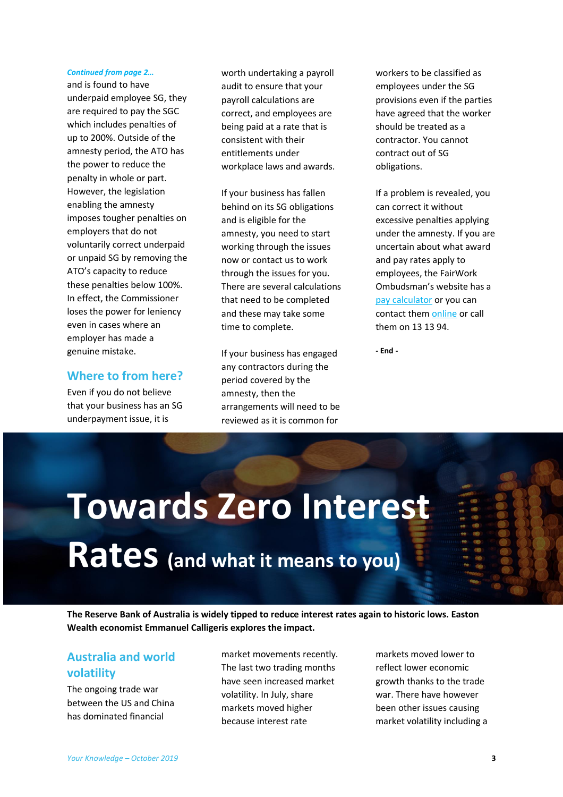#### *Continued from page 2…*

and is found to have underpaid employee SG, they are required to pay the SGC which includes penalties of up to 200%. Outside of the amnesty period, the ATO has the power to reduce the penalty in whole or part. However, the legislation enabling the amnesty imposes tougher penalties on employers that do not voluntarily correct underpaid or unpaid SG by removing the ATO's capacity to reduce these penalties below 100%. In effect, the Commissioner loses the power for leniency even in cases where an employer has made a genuine mistake.

#### **Where to from here?**

Even if you do not believe that your business has an SG underpayment issue, it is

worth undertaking a payroll audit to ensure that your payroll calculations are correct, and employees are being paid at a rate that is consistent with their entitlements under workplace laws and awards.

If your business has fallen behind on its SG obligations and is eligible for the amnesty, you need to start working through the issues now or contact us to work through the issues for you. There are several calculations that need to be completed and these may take some time to complete.

If your business has engaged any contractors during the period covered by the amnesty, then the arrangements will need to be reviewed as it is common for

workers to be classified as employees under the SG provisions even if the parties have agreed that the worker should be treated as a contractor. You cannot contract out of SG obligations.

If a problem is revealed, you can correct it without excessive penalties applying under the amnesty. If you are uncertain about what award and pay rates apply to employees, the FairWork Ombudsman's website has a [pay calculator](https://calculate.fairwork.gov.au/findyouraward) or you can contact the[m online](https://www.fairwork.gov.au/contact-us/online-enquiries) or call them on 13 13 94.

**- End -**

## **Towards Zero Interest Rates (and what it means to you)**

**The Reserve Bank of Australia is widely tipped to reduce interest rates again to historic lows. Easton Wealth economist Emmanuel Calligeris explores the impact.**

### **Australia and world volatility**

The ongoing trade war between the US and China has dominated financial

market movements recently. The last two trading months have seen increased market volatility. In July, share markets moved higher because interest rate

markets moved lower to reflect lower economic growth thanks to the trade war. There have however been other issues causing market volatility including a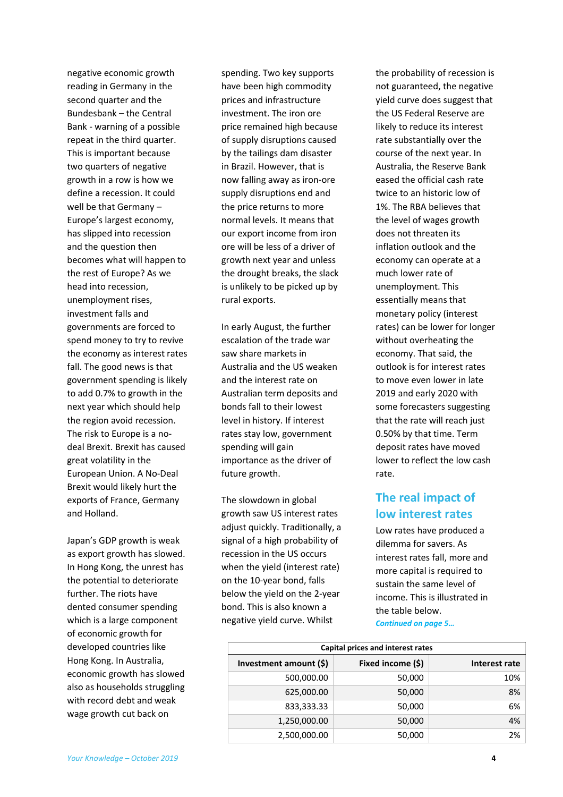negative economic growth reading in Germany in the second quarter and the Bundesbank – the Central Bank - warning of a possible repeat in the third quarter. This is important because two quarters of negative growth in a row is how we define a recession. It could well be that Germany – Europe's largest economy, has slipped into recession and the question then becomes what will happen to the rest of Europe? As we head into recession, unemployment rises, investment falls and governments are forced to spend money to try to revive the economy as interest rates fall. The good news is that government spending is likely to add 0.7% to growth in the next year which should help the region avoid recession. The risk to Europe is a nodeal Brexit. Brexit has caused great volatility in the European Union. A No-Deal Brexit would likely hurt the exports of France, Germany and Holland.

Japan's GDP growth is weak as export growth has slowed. In Hong Kong, the unrest has the potential to deteriorate further. The riots have dented consumer spending which is a large component of economic growth for developed countries like Hong Kong. In Australia, economic growth has slowed also as households struggling with record debt and weak wage growth cut back on

spending. Two key supports have been high commodity prices and infrastructure investment. The iron ore price remained high because of supply disruptions caused by the tailings dam disaster in Brazil. However, that is now falling away as iron-ore supply disruptions end and the price returns to more normal levels. It means that our export income from iron ore will be less of a driver of growth next year and unless the drought breaks, the slack is unlikely to be picked up by rural exports.

In early August, the further escalation of the trade war saw share markets in Australia and the US weaken and the interest rate on Australian term deposits and bonds fall to their lowest level in history. If interest rates stay low, government spending will gain importance as the driver of future growth.

The slowdown in global growth saw US interest rates adjust quickly. Traditionally, a signal of a high probability of recession in the US occurs when the yield (interest rate) on the 10-year bond, falls below the yield on the 2-year bond. This is also known a negative yield curve. Whilst

the probability of recession is not guaranteed, the negative yield curve does suggest that the US Federal Reserve are likely to reduce its interest rate substantially over the course of the next year. In Australia, the Reserve Bank eased the official cash rate twice to an historic low of 1%. The RBA believes that the level of wages growth does not threaten its inflation outlook and the economy can operate at a much lower rate of unemployment. This essentially means that monetary policy (interest rates) can be lower for longer without overheating the economy. That said, the outlook is for interest rates to move even lower in late 2019 and early 2020 with some forecasters suggesting that the rate will reach just 0.50% by that time. Term deposit rates have moved lower to reflect the low cash rate.

### **The real impact of low interest rates**

Low rates have produced a dilemma for savers. As interest rates fall, more and more capital is required to sustain the same level of income. This is illustrated in the table below. *Continued on page 5…*

| Capital prices and interest rates |                        |                   |               |
|-----------------------------------|------------------------|-------------------|---------------|
|                                   | Investment amount (\$) | Fixed income (\$) | Interest rate |
|                                   | 500,000.00             | 50,000            | 10%           |
|                                   | 625,000.00             | 50,000            | 8%            |
|                                   | 833,333.33             | 50,000            | 6%            |
|                                   | 1,250,000.00           | 50,000            | 4%            |
|                                   | 2,500,000.00           | 50,000            | 2%            |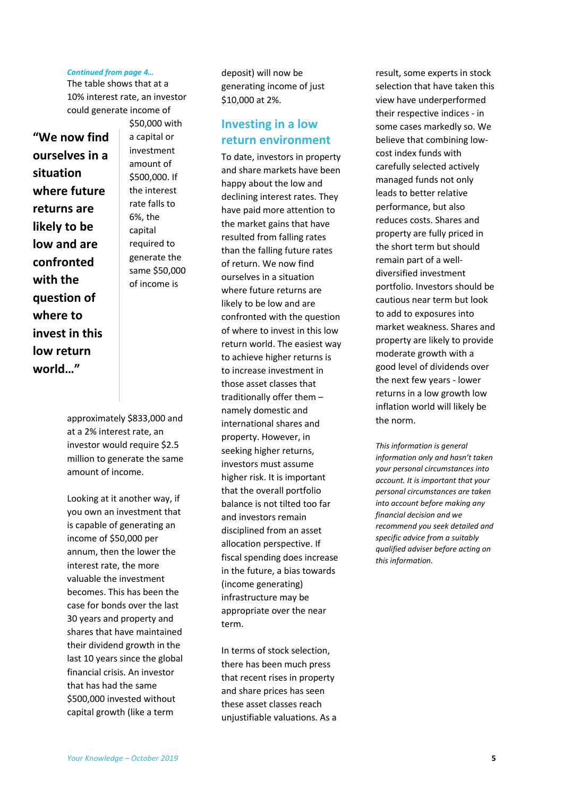#### *Continued from page 4…*

The table shows that at a 10% interest rate, an investor could generate income of

**"We now find ourselves in a situation where future returns are likely to be low and are confronted with the question of where to invest in this low return world…"**

\$50,000 with a capital or investment amount of \$500,000. If the interest rate falls to 6%, the capital required to generate the same \$50,000 of income is

approximately \$833,000 and at a 2% interest rate, an investor would require \$2.5 million to generate the same amount of income.

Looking at it another way, if you own an investment that is capable of generating an income of \$50,000 per annum, then the lower the interest rate, the more valuable the investment becomes. This has been the case for bonds over the last 30 years and property and shares that have maintained their dividend growth in the last 10 years since the global financial crisis. An investor that has had the same \$500,000 invested without capital growth (like a term

deposit) will now be generating income of just \$10,000 at 2%.

#### **Investing in a low return environment**

To date, investors in property and share markets have been happy about the low and declining interest rates. They have paid more attention to the market gains that have resulted from falling rates than the falling future rates of return. We now find ourselves in a situation where future returns are likely to be low and are confronted with the question of where to invest in this low return world. The easiest way to achieve higher returns is to increase investment in those asset classes that traditionally offer them – namely domestic and international shares and property. However, in seeking higher returns, investors must assume higher risk. It is important that the overall portfolio balance is not tilted too far and investors remain disciplined from an asset allocation perspective. If fiscal spending does increase in the future, a bias towards (income generating) infrastructure may be appropriate over the near term.

In terms of stock selection, there has been much press that recent rises in property and share prices has seen these asset classes reach unjustifiable valuations. As a result, some experts in stock selection that have taken this view have underperformed their respective indices - in some cases markedly so. We believe that combining lowcost index funds with carefully selected actively managed funds not only leads to better relative performance, but also reduces costs. Shares and property are fully priced in the short term but should remain part of a welldiversified investment portfolio. Investors should be cautious near term but look to add to exposures into market weakness. Shares and property are likely to provide moderate growth with a good level of dividends over the next few years - lower returns in a low growth low inflation world will likely be the norm.

*This information is general information only and hasn't taken your personal circumstances into account. It is important that your personal circumstances are taken into account before making any financial decision and we recommend you seek detailed and specific advice from a suitably qualified adviser before acting on this information.*